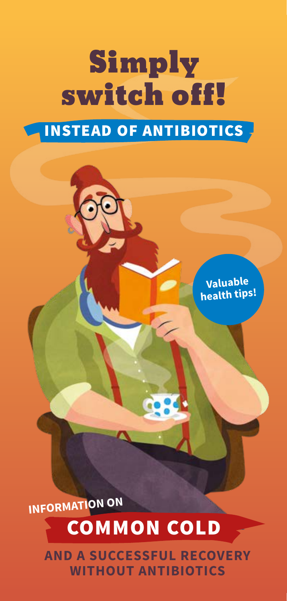# Simply switch off!

## INSTEAD OF ANTIBIOTICS

**Valuable health tips!**

**INFORMATION ON**

## COMMON COLD

**AND A SUCCESSFUL RECOVERY WITHOUT ANTIBIOTICS**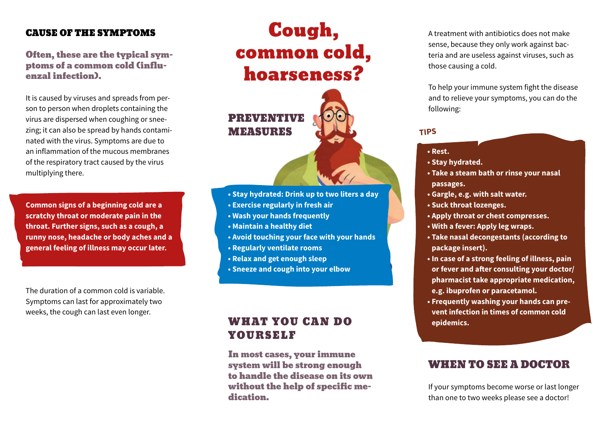#### CAUSE OF THE SYMPTOMS

#### Often, these are the typical symptoms of a common cold (influenzal infection).

It is caused by viruses and spreads from person to person when droplets containing the virus are dispersed when coughing or sneezing; it can also be spread by hands contaminated with the virus. Symptoms are due to an inflammation of the mucous membranes of the respiratory tract caused by the virus multiplying there.

**Common signs of a beginning cold are a scratchy throat or moderate pain in the throat. Further signs, such as a cough, a runny nose, headache or body aches and a general feeling of illness may occur later.** 

The duration of a common cold is variable. Symptoms can last for approximately two weeks, the cough can last even longer.

# Cough, common cold, hoarseness?



- **Stay hydrated: Drink up to two liters a day**
- **Exercise regularly in fresh air**
- **Wash your hands frequently**
- **Maintain a healthy diet**
- **Avoid touching your face with your hands**
- **Regularly ventilate rooms**
- **Relax and get enough sleep**
- **Sneeze and cough into your elbow**

## WHAT YOU CAN DO YOURSELF

In most cases, your immune system will be strong enough to handle the disease on its own without the help of specific medication.

A treatment with antibiotics does not make sense, because they only work against bacteria and are useless against viruses, such as those causing a cold.

To help your immune system fight the disease and to relieve your symptoms, you can do the following:

#### **TIPS**

- **Rest.**
- **Stay hydrated.**
- **Take a steam bath or rinse your nasal passages.**
- **Gargle, e.g. with salt water.**
- **Suck throat lozenges.**
- **Apply throat or chest compresses.**
- **With a fever: Apply leg wraps.**
- **Take nasal decongestants (according to package insert).**
- **In case of a strong feeling of illness, pain or fever and after consulting your doctor/ pharmacist take appropriate medication, e.g. ibuprofen or paracetamol.**
- **Frequently washing your hands can prevent infection in times of common cold epidemics.**

## WHEN TO SEE A DOCTOR

If your symptoms become worse or last longer than one to two weeks please see a doctor!